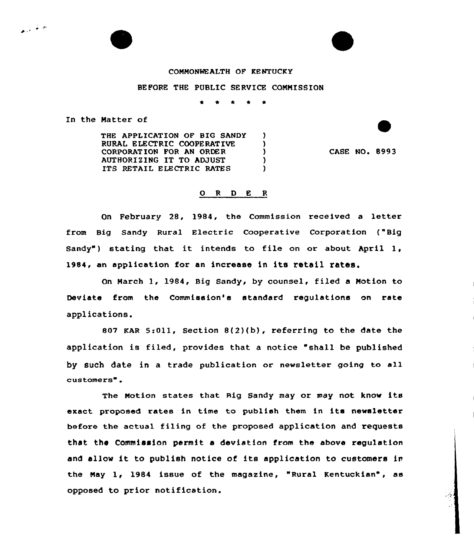## COMMONWEALTH OF KENTUCKY

## BEFORE THE PUBLIC SERVICE COMMISSION

 $\lambda$ A. э.  $\lambda$  $\mathcal{L}$ 

In the Natter of

المواثق المردي

THE APPLICATION OF BIG SANDY RURAL ELECTRIC COOPERATIVE CORPORATION FOR AN ORDER AUTHORIZING IT TO ADJUST ITS RETAIL ELECTRIC RATES

CASE NO. 8993

## 0 <sup>R</sup> <sup>D</sup> E <sup>R</sup>

On February 28, 1984, the Commission received a letter from Big Sandy Rural Electric Cooperative Corporation ("Big Sandy") stating that it intends to file on or about April 1, 1984, an application for an increase in its retail rates.

On March 1, 1984, Big Sandy, by counsel, filed a Motion to Deviate from the Commission's standard regulations on rate applications.

807 KAR 5:Oll, Section 8(2)(b), referring to the date the application is filed, provides that a notice "shall be published by such date in <sup>a</sup> trade publication or newsletter going to all customers".

The Notion states that Rig sandy may or may not know its exact proposed rates in time to publish them in its newsletter before the actual filing of the proposed application and requests that the Commission permit a deviation from the above regulation and allow it to publish notice of its application to customers in the May 1, 1984 issue of the magazine, "Rural Kentuckian", as opposed to prior notification.